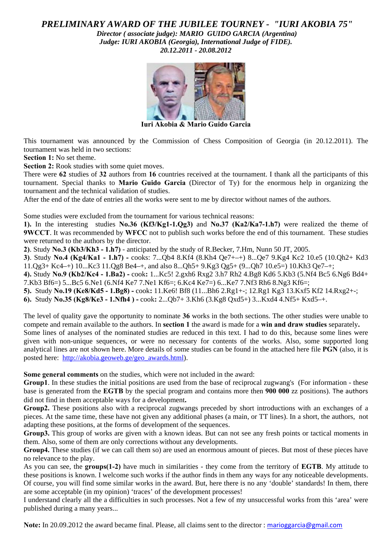# *PRELIMINARY AWARD OF THE JUBILEE TOURNEY - "IURI AKOBIA 75" Director ( associate judge): MARIO GUIDO GARCIA (Argentina) Judge: IURI AKOBIA (Georgia), International Judge of FIDE).*

*20.12.2011 - 20.08.2012* 



**Iuri Akobia & Mario Guido Garcia** 

This tournament was announced by the Commission of Chess Composition of Georgia (in 20.12.2011). The tournament was held in two sections:

**Section 1:** No set theme.

Section 2: Rook studies with some quiet moves.

There were **62** studies of **32** authors from **16** countries received at the tournament. I thank all the participants of this tournament. Special thanks to **Mario Guido Garcia** (Director of Ty) for the enormous help in organizing the tournament and the technical validation of studies.

After the end of the date of entries all the works were sent to me by director without names of the authors.

Some studies were excluded from the tournament for various technical reasons:

**1).** In the interesting studies **No.36 (Kf3/Kg1-1.Qg3)** and **No.37 (Ka2/Ka7-1.h7)** were realized the theme of **9WCCT**. It was recommended by **WFCC** not to publish such works before the end of this tournament. These studies were returned to the authors by the director.

**2)**. Study **No.3 (Kb3/Kh3 - 1.h7)** - anticipated by the study of R.Becker, 7.Hm, Nunn 50 JT, 2005.

**3)**. Study **No.4 (Kg4/Ka1 - 1.h7) -** cooks: 7...Qb4 8.Kf4 (8.Kh4 Qe7+–+) 8...Qe7 9.Kg4 Kc2 10.e5 (10.Qh2+ Kd3  $11.Qg3+ Kc4$ + $10...Kc3$   $11.Qg8$  Be4+ $+$ , and also 8... $Oh5+9.Kg3$   $Og5+ (9...Oh7$   $10.e5=)$   $10.Kh3$   $Oe7+$ ;

**4).** Study **No.9 (Kb2/Kc4 - 1.Ba2) -** cook**:** 1...Kc5! 2.gxh6 Rxg2 3.h7 Rh2 4.Bg8 Kd6 5.Kb3 (5.Nf4 Bc5 6.Ng6 Bd4+ 7.Kb3 Bf6=) 5...Bc5 6.Ne1 (6.Nf4 Ke7 7.Ne1 Kf6=; 6.Kc4 Ke7=) 6...Ke7 7.Nf3 Rh6 8.Ng3 Kf6=;

**5).** Study **No.19 (Ke8/Kd5 - 1.Bg8) -** cook**:** 11.Ke6! Bf8 (11...Bh6 2.Rg1+-; 12.Rg1 Kg3 13.Kxf5 Kf2 14.Rxg2+-;

**6).** Study **No.35 (Kg8/Ke3 - 1.Nfh4 ) -** cook**:** 2...Qb7+ 3.Kh6 (3.Kg8 Qxd5+) 3...Kxd4 4.Nf5+ Kxd5–+.

The level of quality gave the opportunity to nominate **36** works in the both sections. The other studies were unable to compete and remain available to the authors. In **section 1** the award is made for a **win and draw studies** separately**.**  Some lines of analyses of the nominated studies are reduced in this text. I had to do this, because some lines were given with non-unique sequences, or were no necessary for contents of the works. Also, some supported long analytical lines are not shown here. More details of some studies can be found in the attached here file **PGN** (also, it is posted here: [http://akobia.geoweb.ge/geo\\_awards.html](http://akobia.geoweb.ge/geo_awards.html)).

**Some general comments** on the studies, which were not included in the award:

**Group1**. In these studies the initial positions are used from the base of reciprocal zugwang's (For information - these base is generated from the **EGTB** by the special program and contains more then **900 000** zz positions). The authors did not find in them acceptable ways for a development**.**

**Group2.** These positions also with a reciprocal zugwangs preceded by short introductions with an exchanges of a pieces. At the same time, these have not given any additional phases (a main, or TT lines). In a short, the authors, not adapting these positions, at the forms of development of the sequences.

**Group3.** This group of works are given with a known ideas. But can not see any fresh points or tactical moments in them. Also, some of them are only corrections without any developments.

**Group4.** These studies (if we can call them so) are used an enormous amount of pieces. But most of these pieces have no relevance to the play.

As you can see, the **groups(1-2)** have much in similarities - they come from the territory of **EGTB**. My attitude to these positions is known. I welcome such works if the author finds in them any ways for any noticeable developments. Of course, you will find some similar works in the award. But, here there is no any 'double' standards! In them, there are some acceptable (in my opinion) 'traces' of the development processes!

I understand clearly all the a difficulties in such processes. Not a few of my unsuccessful works from this 'area' were published during a many years...

**Note:** In 20.09.2012 the award became final. Please, all claims sent to the director : [marioggarcia@gmail.com](mailto:marioggarcia@gmail.com)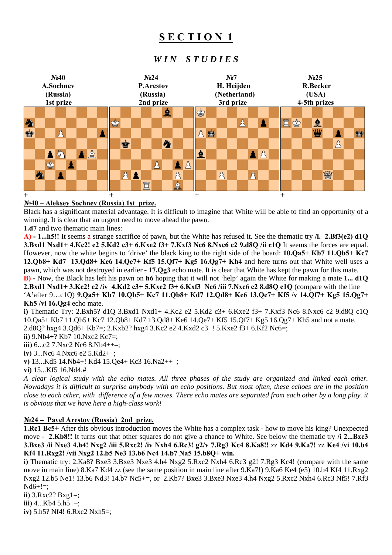# **S E C T I O N 1**

# *W I N S T U D I E S*



### **№40 – Aleksey Sochnev (Russia) 1st prize.**

Black has a significant material advantage. It is difficult to imagine that White will be able to find an opportunity of a winning**.** It is clear that an urgent need to move ahead the pawn.

**1.d7** and two thematic main lines:

**A) - 1...h5!!** It seems a strange sacrifice of pawn, but the White has refused it. See the thematic try **/i. 2.Bf3(e2) d1Q 3.Bxd1 Nxd1+ 4.Kc2! e2 5.Kd2 c3+ 6.Kxe2 f3+ 7.Kxf3 Nc6 8.Nxc6 c2 9.d8Q /ii c1Q** It seems the forces are equal. However, now the white begins to 'drive' the black king to the right side of the board: **10.Qa5+ Kb7 11.Qb5+ Kc7 12.Qb8+ Kd7 13.Qd8+ Ke6 14.Qe7+ Kf5 15.Qf7+ Kg5 16.Qg7+ Kh4** and here turns out that White well uses a pawn, which was not destroyed in earlier **- 17.Qg3** echo mate. It is clear that White has kept the pawn for this mate.

**B) -** Now, the Black has left his pawn on **h6** hoping that it will not 'help' again the White for making a mate **1... d1Q 2.Bxd1 Nxd1+ 3.Kc2! e2 /iv 4.Kd2 c3+ 5.Kxe2 f3+ 6.Kxf3 Nc6 /iii 7.Nxc6 c2 8.d8Q c1Q** (compare with the line '**A'**after 9…c1Q) **9.Qa5+ Kb7 10.Qb5+ Kc7 11.Qb8+ Kd7 12.Qd8+ Ke6 13.Qe7+ Kf5 /v 14.Qf7+ Kg5 15.Qg7+ Kh5 /vi 16.Qg4** echo mate.

**i)** Thematic Try: 2.Bxh5? d1Q 3.Bxd1 Nxd1+ 4.Kc2 e2 5.Kd2 c3+ 6.Kxe2 f3+ 7.Kxf3 Nc6 8.Nxc6 c2 9.d8Q c1Q 10.Qa5+ Kb7 11.Qb5+ Kc7 12.Qb8+ Kd7 13.Qd8+ Ke6 14.Qe7+ Kf5 15.Qf7+ Kg5 16.Qg7+ Kh5 and not a mate.

2.d8Q? hxg4 3.Qd6+ Kb7=; 2.Kxb2? hxg4 3.Kc2 e2 4.Kxd2 c3+! 5.Kxe2 f3+ 6.Kf2 Nc6=;

**ii)** 9.Nb4+? Kb7 10.Nxc2 Kc7=;

**iii)** 6...c2 7.Nxc2 Nc6 8.Nb4++–;

**iv)** 3...Nc6 4.Nxc6 e2 5.Kd2+–; **v)** 13...Kd5 14.Nb4+! Kd4 15.Qe4+ Kc3 16.Na2++–;

**vi)** 15...Kf5 16.Nd4.#

*A clear logical study with the echo mates. All three phases of the study are organized and linked each other. Nowadays it is difficult to surprise anybody with an echo positions. But most often, these echoes are in the position close to each other, with difference of a few moves. There echo mates are separated from each other by a long play. it is obvious that we have here a high-class work!* 

### **№24 – Pavel Arestov (Russia) 2nd prize.**

**1.Rc1 Bc5+** After this obvious introduction moves the White has a complex task - how to move his king? Unexpected move - **2.Kb8!!** It turns out that other squares do not give a chance to White. See below the thematic try **/i 2...Bxe3 3.Bxe3 /ii Nxe3 4.h4! Nxg2 /iii 5.Rxc2! /iv Nxh4 6.Rc3! g2/v 7.Rg3 Kc4 8.Ka8!!** zz **Kd4 9.Ka7!** zz **Ke4 /vi 10.b4 Kf4 11.Rxg2! /vii Nxg2 12.b5 Ne3 13.b6 Nc4 14.b7 Na5 15.b8Q+ win.**

**i)** Thematic try: 2.Ka8? Bxe3 3.Bxe3 Nxe3 4.h4 Nxg2 5.Rxc2 Nxh4 6.Rc3 g2! 7.Rg3 Kc4! (compare with the same move in main line) 8.Ka7 Kd4 zz (see the same position in main line after 9.Ka7!) 9.Ka6 Ke4 (e5) 10.b4 Kf4 11.Rxg2 Nxg2 12.b5 Ne1! 13.b6 Nd3! 14.b7 Nc5+=, or 2.Kb7? Bxe3 3.Bxe3 Nxe3 4.h4 Nxg2 5.Rxc2 Nxh4 6.Rc3 Nf5! 7.Rf3  $Nd6+!=;$ 

**ii)** 3.Rxc2? Bxg1=; **iii)** 4...Kb4 5.h5+–; **iv)** 5.h5? Nf4! 6.Rxc2 Nxh5=;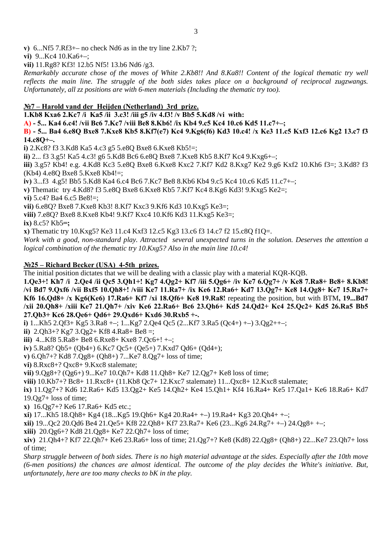**v)** 6...Nf5 7.Rf3+– no check Nd6 as in the try line 2.Kb7 ?;

**vi)** 9...Kc4 10.Ka6+–;

**vii)** 11.Rg8? Kf3! 12.b5 Nf5! 13.b6 Nd6 /g3.

*Remarkably accurate chose of the moves of White 2.Kb8!! And 8.Ka8!! Content of the logical thematic try well reflects the main line. The struggle of the both sides takes place on a background of reciprocal zugzwangs. Unfortunately, all zz positions are with 6-men materials (Including the thematic try too).* 

#### **№7 – Harold vand der Heijden (Netherland) 3rd prize.**

**1.Kb8 Kxa6 2.Kc7 /i Ka5 /ii 3.c3! /iii g5 /iv 4.f3! /v Bb5 5.Kd8 /vi with:** 

**A) - 5... Ka4 6.c4! /vii Bc6 7.Kc7 /viii Be8 8.Kb6! /ix Kb4 9.c5 Kc4 10.c6 Kd5 11.c7+–;** 

**B) - 5... Ba4 6.e8Q Bxe8 7.Kxe8 Kb5 8.Kf7(e7) Kc4 9.Kg6(f6) Kd3 10.c4! /x Ke3 11.c5 Kxf3 12.c6 Kg2 13.c7 f3 14.c8Q+–.** 

**i)** 2.Kc8? f3 3.Kd8 Ka5 4.c3 g5 5.e8Q Bxe8 6.Kxe8 Kb5!=;

**ii)** 2... f3 3.g5! Ka5 4.c3! g6 5.Kd8 Bc6 6.e8Q Bxe8 7.Kxe8 Kb5 8.Kf7 Kc4 9.Kxg6+–;

**iii)** 3.g5? Kb4! e.g. 4.Kd8 Kc3 5.e8Q Bxe8 6.Kxe8 Kxc2 7.Kf7 Kd2 8.Kxg7 Ke2 9.g6 Kxf2 10.Kh6 f3=; 3.Kd8? f3  $(Kb4)$  4.e8O Bxe8 5.Kxe8 Kb4!=;

**iv)** 3...f3 4.g5! Bb5 5.Kd8 Ka4 6.c4 Bc6 7.Kc7 Be8 8.Kb6 Kb4 9.c5 Kc4 10.c6 Kd5 11.c7+–;

**v)** Thematic try 4.Kd8? f3 5.e8Q Bxe8 6.Kxe8 Kb5 7.Kf7 Kc4 8.Kg6 Kd3! 9.Kxg5 Ke2=;

**vi)** 5.c4? Ba4 6.c5 Be8!=;

**vii)** 6.e8Q? Bxe8 7.Kxe8 Kb3! 8.Kf7 Kxc3 9.Kf6 Kd3 10.Kxg5 Ke3=;

**viii)** 7.e8Q? Bxe8 8.Kxe8 Kb4! 9.Kf7 Kxc4 10.Kf6 Kd3 11.Kxg5 Ke3=;

**ix)** 8.c5? Kb5**=;**

**x)** Thematic try 10.Kxg5? Ke3 11.c4 Kxf3 12.c5 Kg3 13.c6 f3 14.c7 f2 15.c8Q f1Q=.

*Work with a good, non-standard play. Attracted several unexpected turns in the solution. Deserves the attention a logical combination of the thematic try 10.Kxg5? Also in the main line 10.c4!* 

#### **№25 – Richard Becker (USA) 4-5th prizes.**

The initial position dictates that we will be dealing with a classic play with a material KQR-KQB.

**1.Qe3+! Kh7 /i 2.Qe4 /ii Qc5 3.Qh1+! Kg7 4.Qg2+ Kf7 /iii 5.Qg6+ /iv Ke7 6.Qg7+ /v Ke8 7.Ra8+ Bc8+ 8.Kb8! /vi Bd7 9.Qxf6 /vii Bxf5 10.Qh8+! /viii Ke7 11.Ra7+ /ix Ke6 12.Ra6+ Kd7 13.Qg7+ Ke8 14.Qg8+ Ke7 15.Ra7+ Kf6 16.Qd8+ /x Kg6(Ke6) 17.Ra6+ Kf7 /xi 18.Qf6+ Ke8 19.Ra8!** repeating the position, but with BTM**, 19...Bd7 /xii 20.Qh8+ /xiii Ke7 21.Qh7+ /xiv Ke6 22.Ra6+ Bc6 23.Qh6+ Kd5 24.Qd2+ Kc4 25.Qc2+ Kd5 26.Ra5 Bb5 27.Qb3+ Kc6 28.Qe6+ Qd6+ 29.Qxd6+ Kxd6 30.Rxb5 +-.**

**i)** 1...Kh5 2.Qf3+ Kg5 3.Ra8 +–; 1...Kg7 2.Qe4 Qc5 (2...Kf7 3.Ra5 (Qc4+) +–) 3.Qg2++–;

**ii)** 2.Qh3+? Kg7 3.Qg2+ Kf8 4.Ra8+ Be8 =;

**iii)** 4...Kf8 5.Ra8+ Be8 6.Rxe8+ Kxe8 7.Qc6+! +–;

**iv)** 5.Ra8? Qb5+ (Qb4+) 6.Kc7 Qc5+ (Qe5+) 7.Kxd7 Qd6+ (Qd4+);

**v)** 6.Qh7+? Kd8 7.Qg8+ (Qh8+) 7...Ke7 8.Qg7+ loss of time;

**vi)** 8.Rxc8+? Qxc8+ 9.Kxc8 stalemate;

**vii)** 9.Qg8+? (Qg6+) 9...Ke7 10.Qh7+ Kd8 11.Qh8+ Ke7 12.Qg7+ Ke8 loss of time;

**viii)** 10.Kb7+? Bc8+ 11.Rxc8+ (11.Kb8 Qc7+ 12.Kxc7 stalemate) 11...Qxc8+ 12.Kxc8 stalemate;

**ix)** 11.Qg7+? Kd6 12.Ra6+ Kd5 13.Qg2+ Ke5 14.Qh2+ Ke4 15.Qh1+ Kf4 16.Ra4+ Ke5 17.Qa1+ Ke6 18.Ra6+ Kd7 19.Qg7+ loss of time;

**x)** 16.Qg7+? Ke6 17.Ra6+ Kd5 etc.;

**xi)** 17...Kh5 18.Qh8+ Kg4 (18...Kg5 19.Qh6+ Kg4 20.Ra4+ +–) 19.Ra4+ Kg3 20.Qh4+ +–;

**xii)** 19...Qc2 20.Qd6 Be4 21.Qe5+ Kf8 22.Qh8+ Kf7 23.Ra7+ Ke6 (23...Kg6 24.Rg7+ +–) 24.Qg8+ +–;

**xiii)** 20.Qg6+? Kd8 21.Qg8+ Ke7 22.Qh7+ loss of time;

**xiv)** 21.Qh4+? Kf7 22.Qh7+ Ke6 23.Ra6+ loss of time; 21.Qg7+? Ke8 (Kd8) 22.Qg8+ (Qh8+) 22...Ke7 23.Qh7+ loss of time;

*Sharp struggle between of both sides. There is no high material advantage at the sides. Especially after the 10th move (6-men positions) the chances are almost identical. The outcome of the play decides the White's initiative. But, unfortunately, here are too many checks to bK in the play.*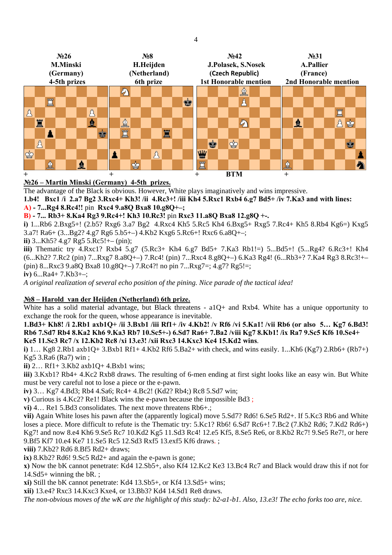

### **№26 – Martin Minski (Germany) 4-5th prizes.**

The advantage of the Black is obvious. However, White plays imaginatively and wins impressive.

**1.b4! Bxc1 /i 2.a7 Bg2 3.Rxc4+ Kh3! /ii 4.Rc3+! /iii Kh4 5.Rxc1 Rxb4 6.g7 Bd5+ /iv 7.Ka3 and with lines: A) - 7...Rg4 8.Rc4!!** pin **Rxc4 9.a8Q Bxa8 10.g8Q+–;** 

**B) - 7... Rb3+ 8.Ka4 Rg3 9.Rc4+! Kh3 10.Rc3!** pin **Rxc3 11.a8Q Bxa8 12.g8Q +-.** 

**i)** 1...Rb6 2.Bxg5+! (2.b5? Rxg6 3.a7 Bg2 4.Rxc4 Kh5 5.Rc5 Kh4 6.Bxg5+ Rxg5 7.Rc4+ Kh5 8.Rb4 Kg6=) Kxg5 3.a7! Ra6+ (3...Bg2? 4.g7 Rg6 5.b5+–) 4.Kb2 Kxg6 5.Rc6+! Rxc6 6.a8Q+–;

**ii)** 3...Kh5? 4.g7 Rg5 5.Rc5!+– (pin);

**iii)** Thematic try 4.Rxc1? Rxb4 5.g7 (5.Rc3+ Kh4 6.g7 Bd5+ 7.Ka3 Rb1!=) 5...Bd5+! (5...Rg4? 6.Rc3+! Kh4 (6...Kh2? 7.Rc2 (pin) 7...Rxg7 8.a8Q+–) 7.Rc4! (pin) 7...Rxc4 8.g8Q+–) 6.Ka3 Rg4! (6...Rb3+? 7.Ka4 Rg3 8.Rc3!+– (pin) 8...Rxc3 9.a8O Bxa8 10.g8O+-) 7.Rc4?! no pin 7...Rxg7=; 4.g7? Rg5!=;

**iv)** 6...Ra4+ 7.Kb3+–;

*A original realization of several echo position of the pining. Nice parade of the tactical idea!* 

### **№8 – Harold van der Heijden (Netherland) 6th prize.**

White has a solid material advantage, but Black threatens - a1Q+ and Rxb4. White has a unique opportunity to exchange the rook for the queen, whose appearance is inevitable.

**1.Bd3+ Kh8! /i 2.Rb1 axb1Q+ /ii 3.Bxb1 /iii Rf1+ /iv 4.Kb2! /v Rf6 /vi 5.Ka1! /vii Rb6 (or also 5… Kg7 6.Bd3! Rb6 7.Sd7 Rb4 8.Ka2 Kh6 9.Ka3 Rb7 10.Sc5+-) 6.Sd7 Ra6+ 7.Ba2 /viii Kg7 8.Kb1! /ix Ra7 9.Sc5 Kf6 10.Se4+ Ke5 11.Sc3 Rc7 /x 12.Kb2 Rc8 /xi 13.e3! /xii Rxc3 14.Kxc3 Ke4 15.Kd2 wins**.

**i)** 1… Kg8 2.Rb1 axb1Q+ 3.Bxb1 Rf1+ 4.Kb2 Rf6 5.Ba2+ with check, and wins easily. 1...Kh6 (Kg7) 2.Rb6+ (Rb7+) Kg5 3.Ra6 (Ra7) win ;

**ii)** 2… Rf1+ 3.Kb2 axb1Q+ 4.Bxb1 wins;

**iii)** 3.Kxb1? Rb4+ 4.Kc2 Rxb8 draws. The resulting of 6-men ending at first sight looks like an easy win. But White must be very careful not to lose a piece or the e-pawn.

**iv)** 3… Kg7 4.Bd3; Rb4 4.Sa6; Rc4+ 4.Bc2! (Kd2? Rb4;) Rc8 5.Sd7 win;

**v)** Curious is 4.Kc2? Re1! Black wins the e-pawn because the impossible Bd3 ;

**vi)** 4… Re1 5.Bd3 consolidates. The next move threatens Rb6+.;

**vii)** Again White loses his pawn after the (apparently logical) move 5.Sd7? Rd6! 6.Se5 Rd2+. If 5.Kc3 Rb6 and White loses a piece. More difficult to refute is the Thematic try: 5.Kc1? Rb6! 6.Sd7 Rc6+! 7.Bc2 (7.Kb2 Rd6; 7.Kd2 Rd6+) Kg7! and now 8.e4 Kh6 9.Se5 Rc7 10.Kd2 Kg5 11.Sd3 Rc4! 12.e5 Kf5, 8.Se5 Re6, or 8.Kb2 Rc7! 9.Se5 Re7!, or here 9.Bf5 Kf7 10.e4 Ke7 11.Se5 Rc5 12.Sd3 Rxf5 13.exf5 Kf6 draws. ;

**viii)** 7.Kb2? Rd6 8.Bf5 Rd2+ draws;

**ix)** 8.Kb2? Rd6! 9.Sc5 Rd2+ and again the e-pawn is gone;

**x)** Now the bK cannot penetrate: Kd4 12.Sb5+, also Kf4 12.Kc2 Ke3 13.Bc4 Rc7 and Black would draw this if not for 14.Sd5+ winning the bR. ;

**xi)** Still the bK cannot penetrate: Kd4 13.Sb5+, or Kf4 13.Sd5+ wins;

**xii)** 13.e4? Rxc3 14.Kxc3 Kxe4, or 13.Bb3? Kd4 14.Sd1 Re8 draws.

*The non-obvious moves of the wK are the highlight of this study: b2-a1-b1. Also, 13.e3! The echo forks too are, nice.*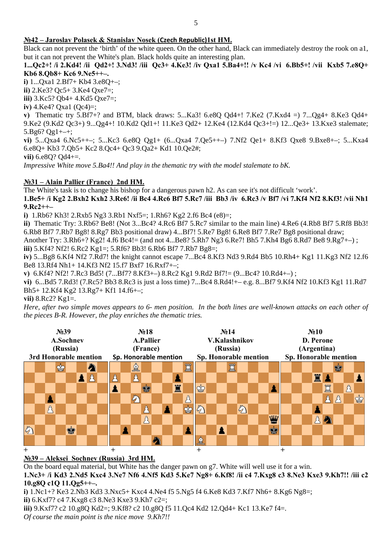Black can not prevent the 'birth' of the white queen. On the other hand, Black can immediately destroy the rook on a1, but it can not prevent the White's plan. Black holds quite an interesting plan.

#### **1...Qc2+! /i 2.Kd4! /ii Qd2+! 3.Nd3! /iii Qc3+ 4.Ke3! /iv Qxa1 5.Ba4+!! /v Kc4 /vi 6.Bb5+! /vii Kxb5 7.e8Q+ Kb6 8.Qb8+ Kc6 9.Ne5++–.**

**i)** 1...Qxa1 2.Bf7+ Kb4 3.e8Q+–;

**ii)** 2.Ke3? Qc5+ 3.Ke4 Qxe7=;

**iii)** 3.Kc5? Qb4+ 4.Kd5 Qxe7=;

**iv)** 4.Ke4? Qxa1 (Qc4)=;

**v)** Thematic try 5.Bf7+? and BTM, black draws: 5...Ka3! 6.e8Q Qd4+! 7.Ke2 (7.Kxd4 =) 7...Qg4+ 8.Ke3 Qd4+ 9.Ke2 (9.Kd2 Qc3+) 9...Qg4+! 10.Kd2 Qd1+! 11.Ke3 Qd2+ 12.Ke4 (12.Kd4 Qc3+!=) 12...Qe3+ 13.Kxe3 stalemate; 5.Bg6?  $Qg1+-+$ ;

**vi)** 5...Qxa4 6.Nc5++–; 5...Kc3 6.e8Q Qg1+ (6...Qxa4 7.Qe5++–) 7.Nf2 Qe1+ 8.Kf3 Qxe8 9.Bxe8+–; 5...Kxa4 6.e8Q+ Kb3 7.Qb5+ Kc2 8.Qc4+ Qc3 9.Qa2+ Kd1 10.Qe2#;

**vii)** 6.e8Q? Qd4+=.

*Impressive White move 5.Ba4!! And play in the thematic try with the model stalemate to bK.* 

### **№31 – Alain Pallier (France) 2nd HM.**

The White's task is to change his bishop for a dangerous pawn h2. As can see it's not difficult 'work'. **1.Be5+ /i Kg2 2.Bxh2 Kxh2 3.Re6! /ii Bc4 4.Rc6 Bf7 5.Rc7 /iii Bb3 /iv 6.Rc3 /v Bf7 /vi 7.Kf4 Nf2 8.Kf3! /vii Nh1 9.Rc2++–** 

**i)** 1.Rb6? Kh3! 2.Rxb5 Ng3 3.Rb1 Nxf5=; 1.Rh6? Kg2 2.f6 Bc4 (e8)=;

**ii)** Thematic Try: 3.Rb6? Be8! (Not 3...Bc4? 4.Rc6 Bf7 5.Rc7 similar to the main line) 4.Re6 (4.Rb8 Bf7 5.Rf8 Bb3! 6.Rb8 Bf7 7.Rb7 Bg8! 8.Rg7 Bb3 positional draw) 4...Bf7! 5.Re7 Bg8! 6.Re8 Bf7 7.Re7 Bg8 positional draw;

Another Try: 3.Rh6+? Kg2! 4.f6 Bc4!= (and not 4...Be8? 5.Rh7 Ng3 6.Re7! Bh5 7.Kh4 Bg6 8.Rd7 Be8 9.Rg7+–) ;

**iii)** 5.Kf4? Nf2! 6.Rc2 Kg1=; 5.Rf6? Bb3! 6.Rb6 Bf7 7.Rb7 Bg8=;

**iv)** 5...Bg8 6.Kf4 Nf2 7.Rd7! the knight cannot escape 7...Bc4 8.Kf3 Nd3 9.Rd4 Bb5 10.Rh4+ Kg1 11.Kg3 Nf2 12.f6 Be8 13.Rf4 Nh1+ 14.Kf3 Nf2 15.f7 Bxf7 16.Rxf7+–;

**v)** 6.Kf4? Nf2! 7.Rc3 Bd5! (7...Bf7? 8.Kf3+–) 8.Rc2 Kg1 9.Rd2 Bf7!= (9...Bc4? 10.Rd4+–) ;

**vi)** 6...Bd5 7.Rd3! (7.Rc5? Bb3 8.Rc3 is just a loss time) 7...Bc4 8.Rd4!+– e.g. 8...Bf7 9.Kf4 Nf2 10.Kf3 Kg1 11.Rd7 Bh5+ 12.Kf4 Kg2 13.Rg7+ Kf1 14.f6+–;

**vii)** 8.Rc2? Kg1=.

*Here, after two simple moves appears to 6- men position. In the both lines are well-known attacks on each other of the pieces B-R. However, the play enriches the thematic tries.* 

| N <sub>239</sub><br>A.Sochnev<br>(Russia)<br>3rd Honorable mention |  |   |   |   |  |  | N <sub>2</sub> 18<br>A.Pallier<br>(France)<br>Sp. Honorable mention |  |  |   |  |  |   |   | N <sub>2</sub> 14<br>V.Kalashnikov<br>(Russia)<br>Sp. Honorable mention |  |  |  |               |  |  |   | N <sub>2</sub> 10<br>D. Perone<br>(Argentina)<br>Sp. Honorable mention |  |  |   |   |   |  |   |
|--------------------------------------------------------------------|--|---|---|---|--|--|---------------------------------------------------------------------|--|--|---|--|--|---|---|-------------------------------------------------------------------------|--|--|--|---------------|--|--|---|------------------------------------------------------------------------|--|--|---|---|---|--|---|
|                                                                    |  |   | ≌ |   |  |  |                                                                     |  |  | 요 |  |  |   |   |                                                                         |  |  |  |               |  |  |   |                                                                        |  |  |   |   | ⋿ |  |   |
|                                                                    |  |   |   |   |  |  |                                                                     |  |  |   |  |  |   |   |                                                                         |  |  |  |               |  |  |   |                                                                        |  |  | 罝 |   |   |  |   |
|                                                                    |  |   |   |   |  |  |                                                                     |  |  |   |  |  | 罝 |   | ♔                                                                       |  |  |  |               |  |  |   |                                                                        |  |  |   | Ë |   |  |   |
|                                                                    |  |   |   |   |  |  |                                                                     |  |  |   |  |  |   |   |                                                                         |  |  |  |               |  |  |   |                                                                        |  |  |   |   |   |  | ♔ |
|                                                                    |  | Å |   |   |  |  |                                                                     |  |  |   |  |  |   | ⊜ | 9                                                                       |  |  |  | $\mathcal{L}$ |  |  |   |                                                                        |  |  |   |   |   |  |   |
|                                                                    |  |   |   |   |  |  |                                                                     |  |  |   |  |  |   |   |                                                                         |  |  |  |               |  |  | 业 |                                                                        |  |  |   |   |   |  |   |
| $\mathbb{Z}$                                                       |  |   |   | ė |  |  |                                                                     |  |  |   |  |  |   |   |                                                                         |  |  |  |               |  |  | ė |                                                                        |  |  |   |   |   |  |   |
|                                                                    |  |   |   |   |  |  |                                                                     |  |  |   |  |  |   |   | €                                                                       |  |  |  |               |  |  |   |                                                                        |  |  |   |   |   |  |   |
| $^{+}$                                                             |  |   |   |   |  |  |                                                                     |  |  |   |  |  |   |   |                                                                         |  |  |  |               |  |  |   | $^+$                                                                   |  |  |   |   |   |  |   |

**№39 – Aleksei Sochnev (Russia) 3rd HM.**

On the board equal material, but White has the danger pawn on g7. White will well use it for a win. **1.Nc3+ /i Kd3 2.Nd5 Kxc4 3.Ne7 Nf6 4.Nf5 Kd3 5.Ke7 Ng8+ 6.Kf8! /ii c4 7.Kxg8 c3 8.Ne3 Kxe3 9.Kh7!! /iii c2 10.g8Q c1Q 11.Qg5++–.**

**i)** 1.Nc1+? Ke3 2.Nb3 Kd3 3.Nxc5+ Kxc4 4.Ne4 f5 5.Ng5 f4 6.Ke8 Kd3 7.Kf7 Nh6+ 8.Kg6 Ng8=;

**ii)** 6.Kxf7? c4 7.Kxg8 c3 8.Ne3 Kxe3 9.Kh7 c2=;

**iii)** 9.Kxf7? c2 10.g8Q Kd2=; 9.Kf8? c2 10.g8Q f5 11.Qc4 Kd2 12.Qd4+ Kc1 13.Ke7 f4=.

*Of course the main point is the nice move 9.Kh7!!*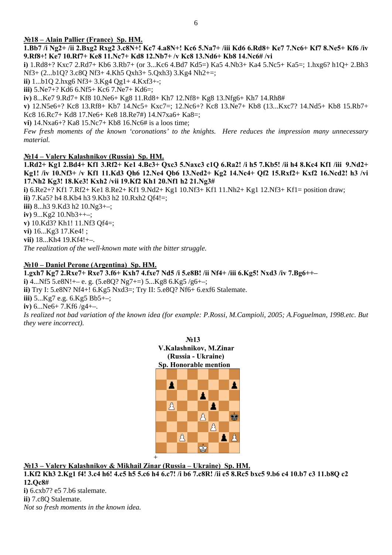#### **№18 – Alain Pallier (France) Sp. HM.**

**1.Bb7 /i Ng2+ /ii 2.Bxg2 Rxg2 3.c8N+! Kc7 4.a8N+! Kc6 5.Na7+ /iii Kd6 6.Rd8+ Ke7 7.Nc6+ Kf7 8.Ne5+ Kf6 /iv 9.Rf8+! Ke7 10.Rf7+ Ke8 11.Nc7+ Kd8 12.Nb7+ /v Kc8 13.Nd6+ Kb8 14.Nc6# /vi** 

**i)** 1.Rd8+? Kxc7 2.Rd7+ Kb6 3.Rb7+ (or 3...Kc6 4.Bd7 Kd5=) Ka5 4.Nb3+ Ka4 5.Nc5+ Ka5=; 1.hxg6? h1Q+ 2.Bh3 Nf3+ (2...b1Q? 3.c8Q Nf3+ 4.Kh5 Qxh3+ 5.Qxh3) 3.Kg4 Nh2+=;

**ii)** 1...b1Q 2.hxg6 Nf3+ 3.Kg4 Qg1+ 4.Kxf3+-;

**iii)** 5.Ne7+? Kd6 6.Nf5+ Kc6 7.Ne7+ Kd6=;

**iv)** 8...Ke7 9.Rd7+ Kf8 10.Ne6+ Kg8 11.Rd8+ Kh7 12.Nf8+ Kg8 13.Nfg6+ Kh7 14.Rh8#

**v)** 12.N5e6+? Kc8 13.Rf8+ Kb7 14.Nc5+ Kxc7=; 12.Nc6+? Kc8 13.Ne7+ Kb8 (13...Kxc7? 14.Nd5+ Kb8 15.Rb7+ Kc8 16.Rc7+ Kd8 17.Ne6+ Ke8 18.Re7#) 14.N7xa6+ Ka8=;

**vi)** 14.Nxa6+? Ka8 15.Nc7+ Kb8 16.Nc6# is a loos time;

*Few fresh moments of the known 'coronations' to the knights. Here reduces the impression many unnecessary material.* 

#### **№14 – Valery Kalashnikov (Russia) Sp. HM.**

**1.Rd2+ Kg1 2.Bd4+ Kf1 3.Rf2+ Ke1 4.Bc3+ Qxc3 5.Naxc3 c1Q 6.Ra2! /i h5 7.Kb5! /ii h4 8.Kc4 Kf1 /iii 9.Nd2+ Kg1! /iv 10.Nf3+ /v Kf1 11.Kd3 Qh6 12.Ne4 Qb6 13.Ned2+ Kg2 14.Nc4+ Qf2 15.Rxf2+ Kxf2 16.Ncd2! h3 /vi 17.Nh2 Kg3! 18.Ke3! Kxh2 /vii 19.Kf2 Kh1 20.Nf1 h2 21.Ng3#**

**i)** 6.Re2+? Kf1 7.Rf2+ Ke1 8.Re2+ Kf1 9.Nd2+ Kg1 10.Nf3+ Kf1 11.Nh2+ Kg1 12.Nf3+ Kf1= position draw; **ii)** 7.Ka5? h4 8.Kb4 h3 9.Kb3 h2 10.Rxh2 Qf4!=;

**iii)** 8...h3 9.Kd3 h2 10.Ng3+–;

**iv)** 9...Kg2 10.Nb3++–;

**v)** 10.Kd3? Kh1! 11.Nf3 Qf4=;

**vi)** 16...Kg3 17.Ke4! ;

**vii)** 18...Kh4 19.Kf4!+–.

*The realization of the well-known mate with the bitter struggle.* 

#### **№10 – Daniel Perone (Argentina) Sp. HM.**

**1.gxh7 Kg7 2.Rxe7+ Rxe7 3.f6+ Kxh7 4.fxe7 Nd5 /i 5.e8B! /ii Nf4+ /iii 6.Kg5! Nxd3 /iv 7.Bg6++– i)** 4...Nf5 5.e8N!+– e. g. (5.e8Q? Ng7+=) 5...Kg8 6.Kg5 /g6+–; **ii)** Try I: 5.e8N? Nf4+! 6.Kg5 Nxd3=; Try II: 5.e8Q? Nf6+ 6.exf6 Stalemate. **iii)** 5...Kg7 e.g. 6.Kg5 Bb5+–; **iv)** 6...Ne6+ 7.Kf6 /g4+–.

*Is realized not bad variation of the known idea (for example: P.Rossi, M.Campioli, 2005; A.Foguelman, 1998.etc. But they were incorrect).* 



**№13 – Valery Kalashnikov & Mikhail Zinar (Russia – Ukraine) Sp. HM.**

**1.Kf2 Kh3 2.Kg1 f4! 3.c4 h6! 4.c5 h5 5.c6 h4 6.c7! /i b6 7.c8R! /ii e5 8.Rc5 bxc5 9.b6 c4 10.b7 c3 11.b8Q c2 12.Qc8#** 

**i)** 6.cxb7? e5 7.b6 stalemate. **ii)** 7.c8Q Stalemate. *Not so fresh moments in the known idea.*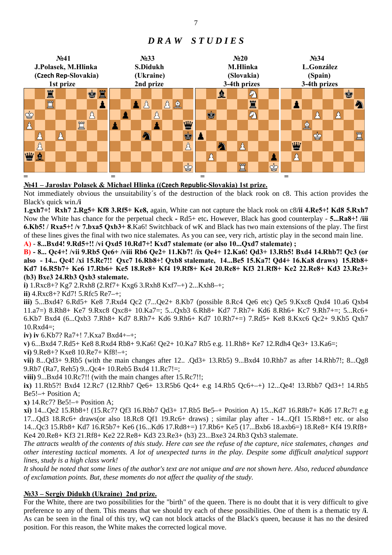#### **№41 №33 №20 №34 J.Polasek, M.Hlinka S.Didukh M.Hlinka L.González (Czech Rep‐Slovakia) (Ukraine) (Slovakia) (Spain) 1st prize 2nd prize 3-4th prizes 3-4th prizes**  罝 ġ 鱼  $\mathcal{D}$ ė 買 82 Â  $\mathbf{A}$   $\mathbf{A}$ 罝 Δ 勾 ♔  $\Delta$ Å A の А Ý W 罝 ≜ Δ A Ë Å A ė ♔ Å 圖 Δ Δ Å 幽皇 A А ♔ Ë ஜ் **= = = =**

# *D R A W S T U D I E S*

### **№41 – Jaroslav Polasek & Michael Hlinka ((Czech Republic‐Slovakia) 1st prize.**

Not immediately obvious the unsuitability´s of the destruction of the black rook on c8. This action provides the Black's quick win.**/i** 

**1.gxh7+! Rxh7 2.Rg5+ Kf8 3.Rf5+ Ke8,** again, White can not capture the black rook on c8**/ii 4.Re5+! Kd8 5.Rxh7**  Now the White has chance for the perpetual check **-** Rd5+ etc**.** However, Black has good counterplay - **5...Ra8+! /iii 6.Kb5! / Rxa5+! /v 7.bxa5 Qxb3+ 8**.Ka6! Switchback of wK and Black has two main extensions of the play. The first of these lines gives the final with two nice stalemates. As you can see, very rich, artistic play in the second main line.

**A)** - **8...Bxd4! 9.Rd5+!! /vi Qxd5 10.Rd7+! Kxd7 stalemate (or also 10...Qxd7 stalemate) ;** 

**B) - 8... Qc4+! /vii 9.Rb5 Qe6+ /viii Rb6 Qe2+ 11.Kb7! /ix Qe4+ 12.Ka6! Qd3+ 13.Rb5! Bxd4 14.Rhb7! Qc3 (or also - 14... Qc4! /xi 15.Rc7!! Qxc7 16.Rb8+! Qxb8 stalemate, 14...Be5 15.Ka7! Qd4+ 16.Ka8 draws) 15.Rb8+ Kd7 16.R5b7+ Ke6 17.Rb6+ Ke5 18.Re8+ Kf4 19.Rf8+ Ke4 20.Re8+ Kf3 21.Rf8+ Ke2 22.Re8+ Kd3 23.Re3+ (b3) Bxe3 24.Rb3 Qxb3 stalemate.** 

**i)** 1.Rxc8+? Kg7 2.Rxh8 (2.Rf7+ Kxg6 3.Rxh8 Kxf7–+) 2...Kxh8–+;

**ii)** 4.Rxc8+? Kd7! 5.Rfc5 Re7–+;

**iii)** 5...Bxd4? 6.Rd5+ Ke8 7.Rxd4 Qc2 (7...Qe2+ 8.Kb7 (possible 8.Rc4 Qe6 etc) Qe5 9.Kxc8 Qxd4 10.a6 Qxb4 11.a7=) 8.Rh8+ Ke7 9.Rxc8 Qxc8+ 10.Ka7=; 5...Qxb3 6.Rh8+ Kd7 7.Rh7+ Kd6 8.Rh6+ Kc7 9.Rh7+=; 5...Rc6+ 6.Kb7 Bxd4 (6...Qxb3 7.Rh8+ Kd7 8.Rh7+ Kd6 9.Rh6+ Kd7 10.Rh7+=) 7.Rd5+ Ke8 8.Kxc6 Qc2+ 9.Kb5 Qxh7 10.Rxd4=;

**iv) iv** 6.Kb7? Ra7+! 7.Kxa7 Bxd4+–+;

**v)** 6...Bxd4 7.Rd5+ Ke8 8.Rxd4 Rb8+ 9.Ka6! Qe2+ 10.Ka7 Rb5 e.g. 11.Rh8+ Ke7 12.Rdh4 Qe3+ 13.Ka6=;

**vi)** 9.Re8+? Kxe8 10.Re7+ Kf8!–+;

**vii)** 8...Qd3+ 9.Rb5 (with the main changes after 12.. .Qd3+ 13.Rb5) 9...Bxd4 10.Rhb7 as after 14.Rhb7!; 8...Qg8 9.Rb7 (Ra7, Reh5) 9...Qc4+ 10.Reb5 Bxd4 11.Rc7!=;

**viii)** 9...Bxd4 10.Rc7!! (with the main changes after 15.Rc7!!;

**ix)** 11.Rb5?! Bxd4 12.Rc7 (12.Rhb7 Qe6+ 13.R5b6 Qc4+ e.g 14.Rb5 Qc6+–+) 12...Qe4! 13.Rbb7 Qd3+! 14.Rb5 Be5!–+ Position A;

**x)** 14.Rc7? Be5!–+ Position A;

**xi)** 14...Qe2 15.Rb8+! (15.Rc7? Qf3 16.Rbb7 Qd3+ 17.Rb5 Be5–+ Position A) 15...Kd7 16.R8b7+ Kd6 17.Rc7! e.g 17...Qd3 18.Rc6+ draws(or also 18.Rc8 Qf1 19.Rc6+ draws) ; similar play after - 14...Qf1 15.Rb8+! etc. or also 14...Qc3 15.Rb8+ Kd7 16.R5b7+ Ke6 (16...Kd6 17.Rd8+=) 17.Rb6+ Ke5 (17...Bxb6 18.axb6=) 18.Re8+ Kf4 19.Rf8+ Ke4 20.Re8+ Kf3 21.Rf8+ Ke2 22.Re8+ Kd3 23.Re3+ (b3) 23...Bxe3 24.Rb3 Qxb3 stalemate.

*The attracts wealth of the contents of this study. Here can see the refuse of the capture, nice stalemates, changes and other interesting tactical moments. A lot of unexpected turns in the play. Despite some difficult analytical support lines, study is a high class work!* 

*It should be noted that some lines of the author's text are not unique and are not shown here. Also, reduced abundance of exclamation points. But, these moments do not affect the quality of the study.* 

### **№33 – Sergiy Didukh (Ukraine) 2nd prize.**

For the White, there are two possibilities for the "birth" of the queen. There is no doubt that it is very difficult to give preference to any of them. This means that we should try each of these possibilities. One of them is a thematic try **/i**. As can be seen in the final of this try, wQ can not block attacks of the Black's queen, because it has no the desired position. For this reason, the White makes the corrected logical move.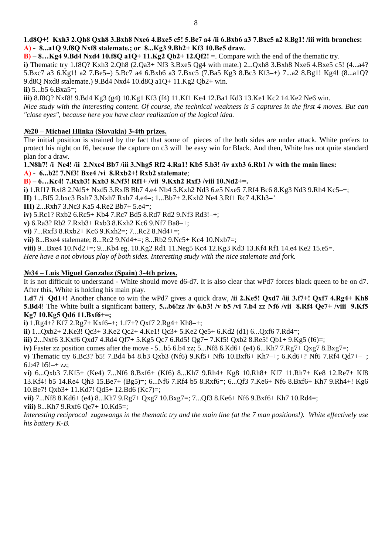#### **1.d8Q+! Kxh3 2.Qh8 Qxh8 3.Bxh8 Nxe6 4.Bxe5 c5! 5.Bc7 a4 /ii 6.Bxb6 a3 7.Bxc5 a2 8.Bg1! /iii with branches: A) - 8...a1Q 9.f8Q Nxf8 stalemate.; or 8...Kg3 9.Bh2+ Kf3 10.Be5 draw.**

**B)**  $-8...Kg4$  9.Bd4 Nxd4 10.f8O a1O+ 11.Kg2 Ob2+ 12.Of2!  $=$ . Compare with the end of the thematic try.

i) Thematic try 1.f8Q? Kxh3 2.Qh8 (2.Qa3+ Nf3 3.Bxe5 Qg4 with mate.) 2...Qxh8 3.Bxh8 Nxe6 4.Bxe5 c5! (4...a4? 5.Bxc7 a3 6.Kg1! a2 7.Be5=) 5.Bc7 a4 6.Bxb6 a3 7.Bxc5 (7.Ba5 Kg3 8.Bc3 Kf3-+) 7...a2 8.Bg1! Kg4! (8...a1Q? 9.d8Q Nxd8 stalemate.) 9.Bd4 Nxd4 10.d8Q a1Q+ 11.Kg2 Qb2+ win.

**ii)** 5...b5 6.Bxa5=;

iii) 8.f8Q? Nxf8! 9.Bd4 Kg3 (g4) 10.Kg1 Kf3 (f4) 11.Kf1 Ke4 12.Ba1 Kd3 13.Ke1 Kc2 14.Ke2 Ne6 win. Nice study with the interesting content. Of course, the technical weakness is 5 captures in the first 4 moves. But can *"close eyes", because here you have clear realization of the logical idea.*

#### **№20 – Michael Hlinka (Slovakia) 3-4th prizes.**

The initial position is strained by the fact that some of pieces of the both sides are under attack. White prefers to protect his night on f6, because the capture on c3 will be easy win for Black. And then, White has not quite standard plan for a draw.

**3! Bxe4** /**vi 8.Rxb2+! Rxb2 stalemate**; **A)** - **6...b2! 7.Nf 1.N8h7! /i Ne4! /ii 2.Nxe4 Bb7 /iii 3.Nhg5 Rf2 4.Ra1! Kb5 5.b3! /iv axb3 6.Rb1 /v with the main lines:** 

**B) – 6…Kc4! 7.Rxb3! Kxb3 8.Nf3! Rf1+ /vii 9.Kxh2 Rxf3 /viii 10.Nd2+=.** 

i) 1.Rf1? Rxf8 2.Nd5+ Nxd5 3.Rxf8 Bb7 4.e4 Nb4 5.Kxh2 Nd3 6.e5 Nxe5 7.Rf4 Bc6 8.Kg3 Nd3 9.Rh4 Kc5-+;

**II**) 1...Bf5 2.bxc3 Bxh7 3.Nxh7 Rxh7 4.e4=; 1...Bb7+ 2.Kxh2 Ne4 3.Rf1 Rc7 4.Kh3='

**III)** 2...Rxh7 3.Nc3 Ka5 4.Re2 Bb7+ 5.e4=;

**iv)** 5.Rc1? Rxb2 6.Rc5+ Kb4 7.Rc7 Bd5 8.Rd7 Rd2 9.Nf3 Rd3!–+;

**v**) 6.Ra3? Rb2 7.Rxb3+ Rxb3 8.Kxh2 Kc6 9.Nf7 Ba8-+;

**vi)** 7...Rxf3 8.Rxb2+ Kc6 9.Kxh2=; 7...Rc2 8.Nd4+=;

**vii**) 8...Bxe4 stalemate; 8...Rc2 9.Nd4+=; 8...Rb2 9.Nc5+ Kc4 10.Nxb7=;

viii) 9...Bxe4 10.Nd2+=; 9...Kb4 eg. 10.Kg2 Rd1 11.Neg5 Kc4 12.Kg3 Kd3 13.Kf4 Rf1 14.e4 Ke2 15.e5=.

Here have a not obvious play of both sides. Interesting study with the nice stalemate and fork.

#### **№34 – Luis Miguel Gonzalez (Spain) 3-4th prizes.**

It is not difficult to understand - White should move d6-d7. It is also clear that wPd7 forces black queen to be on d7. After this, White is holding his main play.

5.Bd4! The White built a significant battery, 5...b6!zz /iv 6.b3! /v b5 /vi 7.b4 zz Nf6 /vii 8.Rf4 Qe7+ /viii 9.Kf5 **1.d7 /i Qd1+!** Another chance to win the wPd7 gives a quick draw, **/ii 2.Ke5! Qxd7 /iii 3.f7+! Qxf7 4.Rg4+ Kh8 Kg7 10.Kg5 Qd6 11.Bxf6+=;**

**i)** 1.Rg4+? Kf7 2.Rg7+ Kxf6–+; 1.f7+? Qxf7 2.Rg4+ Kh8–+;

 $\mathbf{i}$  $\mathbf{i}$ )  $1...Qxb2+2.Ke3!$   $Qc3+3.Ke2$   $Qc2+4.Ke1!$   $Qc3+5.Ke2$   $Qe5+6.Kd2$   $(d1)$   $6...Qxf6$   $7.Rd4=7$ ;

iii) 2...Nxf6 3.Kxf6 Qxd7 4.Rd4 Qf7+ 5.Kg5 Qc7 6.Rd5! Qg7+ 7.Kf5! Qxb2 8.Re5! Qb1+ 9.Kg5 (f6)=;

iv) Faster zz position comes after the move  $-5...b5$  6.b4 zz; 5...Nf8 6.Kd6+ (e4) 6...Kh7 7.Rg7+ Qxg7 8.Bxg7=;

v) Thematic try 6.Bc3? b5! 7.Bd4 b4 8.b3 Qxb3 (Nf6) 9.Kf5+ Nf6 10.Bxf6+ Kh7-+; 6.Kd6+? Nf6 7.Rf4 Qd7+-+; 6.b4? b5! $-+$  zz:

13.Kf4! b5 14.Re4 Qh3 15.Be7+ (Bg5)=; 6...Nf6 7.Rf4 b5 8.Rxf6=; 6...Qf3 7.Ke6+ Nf6 8.Bxf6+ Kh7 9.Rh4+! Kg6 **vi)** 6...Qxb3 7.Kf5+ (Ke4) 7...Nf6 8.Bxf6+ (Kf6) 8...Kh7 9.Rh4+ Kg8 10.Rh8+ Kf7 11.Rh7+ Ke8 12.Re7+ Kf8 10.Be7! Qxb3+ 11.Kd7! Qd5+ 12.Bd6 (Kc7)=;

**vii)** 7...Nf8 8.Kd6+ (e4) 8...Kh7 9.Rg7+ Qxg7 10.Bxg7=; 7...Qf3 8.Ke6+ Nf6 9.Bxf6+ Kh7 10.Rd4=; **viii)** 8...Kh7 9.Rxf6 Qe7+ 10.Kd5=;

Interesting reciprocal zugzwangs in the thematic try and the main line (at the 7 man positions!). White effectively use *his battery K-B.*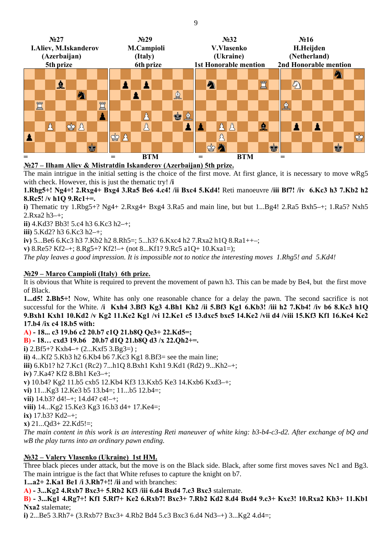

### **№27 – Ilham Aliev & Mistratdin Iskanderov (Azerbaijan) 5th prize.**

The main intrigue in the initial setting is the choice of the first move. At first glance, it is necessary to move wRg5 with check. However, this is just the thematic try! **/i**

**1.Rhg5+! Ng4+! 2.Rxg4+ Bxg4 3.Ra5 Be6 4.c4! /ii Bxc4 5.Kd4!** Reti manoeuvre **/iii Bf7! /iv 6.Kc3 h3 7.Kb2 h2 8.Rc5! /v h1Q 9.Rc1+=.** 

**i)** Thematic try 1.Rbg5+? Ng4+ 2.Rxg4+ Bxg4 3.Ra5 and main line, but but 1...Bg4! 2.Ra5 Bxh5–+; 1.Ra5? Nxh5 2.Rxa2 h3–+;

**ii)** 4.Kd3? Bb3! 5.c4 h3 6.Kc3 h2–+;

**iii)** 5.Kd2? h3 6.Kc3 h2–+;

**iv**) 5...Be6 6.Kc3 h3 7.Kb2 h2 8.Rh5=; 5...h3? 6.Kxc4 h2 7.Rxa2 h1Q 8.Ra1++-;

**v**) 8.Re5? Kf2-+; 8.Rg5+? Kf2!-+ (not 8...Kf1? 9.Rc5 a1Q+ 10.Kxa1=);

The play leaves a good impression. It is impossible not to notice the interesting moves 1.Rhg5! and 5.Kd4!

#### **№29 – Marco Campioli (Italy) 6th prize.**

It is obvious that White is required to prevent the movement of pawn h3. This can be made by Be4, but the first move of Black.

successful for the White. /i Kxh4 3.Bf3 Kg3 4.Bh1 Kh2 /ii 5.Bf3 Kg1 6.Kb3! /iii h2 7.Kb4! /iv b6 8.Kc3 h1Q **1...d5! 2.Bh5+!** Now, White has only one reasonable chance for a delay the pawn. The second sacrifice is not **9.Bxh1 Kxh1 10.Kd2 /v Kg2 11.Ke2 Kg1 /vi 12.Ke1 c5 13.dxc5 bxc5 14.Ke2 /vii d4 /viii 15.Kf3 Kf1 16.Ke4 Ke2 17.b4 /ix c4 18.b5 with:** 

**.b7 d1Q 21.b8Q d3 /x 22.Qh2+=. B) - 18… cxd3 19.b6 20**  $\mathbf{i}$ ) 4...Kf2 5.Kb3 h2 6.Kb4 b6 7.Kc3 Kg1 8.Bf3= see the main line; **iii)** 6.Kb1? h2 7.Kc1 (Rc2) 7...h1Q 8.Bxh1 Kxh1 9.Kd1 (Rd2) 9...Kh2-+; 11...b5 12.b4=; **vi)** 11...Kg3 12.Ke3 b5 13.b4=; The main content in this work is an interesting Reti maneuver of white king: b3-b4-c3-d2. After exchange of bQ and wB the play turns into an ordinary pawn ending. **A) - 18... c3 19.b6 c2 20.b7 c1Q 21.b8Q Qe3+ 22.Kd5=; i)** 2.Bf5+? Kxh4–+ (2...Kxf5 3.Bg3=) ; **iv)** 7.Ka4? Kf2 8.Bh1 Ke3–+; **v)** 10.b4? Kg2 11.b5 cxb5 12.Kb4 Kf3 13.Kxb5 Ke3 14.Kxb6 Kxd3–+; **vii)** 14.b3? d4!–+; 14.d4? c4!–+; **viii)** 14...Kg2 15.Ke3 Kg3 16.b3 d4+ 17.Ke4=; **ix)** 17.b3? Kd2–+; **x)** 21...Qd3+ 22.Kd5!=;

### **№32 – Valery Vlasenko (Ukraine) 1st HM.**

Three black pieces under attack, but the move is on the Black side. Black, after some first moves saves Nc1 and Bg3. The main intrigue is the fact that White refuses to capture the knight on b7.

**1...a2+ 2.Ka1 Be1 /i 3.Rh7+!! /ii** and with branches:

**A) - 3...Kg2 4.Rxb7 Bxc3+ 5.Rb2 Kf3 /iii 6.d4 Bxd4 7.c3 Bxc3** stalemate.

**+ 7.Rb2 Kd2 8.d4 Bxd4 9.c3+ Kxc3! 10.Rxa2 Kb3+ 11.Kb1 B) - 3...Kg1 4.Rg7+! Kf1 5.Rf7+ Ke2 6.Rxb7! Bxc3 Nxa2** stalemate;

**i)** 2...Be5 3.Rh7+ (3.Rxb7? Bxc3+ 4.Rb2 Bd4 5.c3 Bxc3 6.d4 Nd3–+) 3...Kg2 4.d4=;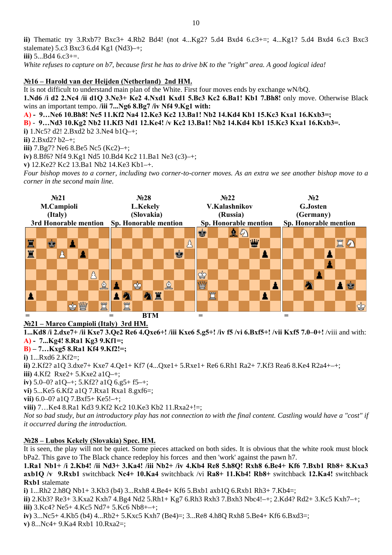**ii)** Thematic try 3.Rxb7? Bxc3+ 4.Rb2 Bd4! (not 4...Kg2? 5.d4 Bxd4 6.c3+=; 4...Kg1? 5.d4 Bxd4 6.c3 Bxc3 stalemate) 5.c3 Bxc3 6.d4 Kg1 (Nd3)-+; White refuses to capture on b7, because first he has to drive bK to the "right" area. A good logical idea! **iii)** 5...Bd4 6.c3+=.

#### **№16 – Harold van der Heijden (Netherland) 2nd HM.**

It is not difficult to understand main plan of the White. First four moves ends by exchange wN/bQ.

**1.Nd6 /i d2 2.Nc4 /ii d1Q 3.Ne3+ Ke2 4.Nxd1 Kxd1 5.Bc3 Kc2 6.Ba1! Kb1 7.Bh8!** only move. Otherwise Black wins an important tempo. **/iii 7...Ng6 8.Bg7 /iv Nf4 9.Kg1 with:** 

**A) - 9…Ne6 10.Bh8! Nc5 11.Kf2 Na4 12.Ke3 Kc2 13.Ba1! Nb2 14.Kd4 Kb1 15.Kc3 Kxa1 16.Kxb3=;** 

**b2 14.Kd4 Kb1 15.Kc3 Kxa1 16.Kxb3=. B)** - **9…Nd3 10.Kg2 Nb2 11.Kf3 Nd1 12.Ke4! /v Kc2 13.Ba1! N**

**i)** 1.Nc5? d2! 2.Bxd2 b2 3.Ne4 b1Q–+;

**ii)** 2.Bxd2? b2–+;

**iii)** 7.Bg7? Ne6 8.Be5 Nc5 (Kc2)–+;

iv) 8.Bf6? Nf4 9.Kg1 Nd5 10.Bd4 Kc2 11.Ba1 Ne3 (c3)-+;

**v**) 12.Ke2? Kc2 13.Ba1 Nb2 14.Ke3 Kb1-+.

Four bishop moves to a corner, including two corner-to-corner moves. As an extra we see another bishop move to a *corner in the second main line.* 



#### **№21 – Marco Campioli (Italy) 3rd HM.**

1...Kd8 /i 2.dxe7+ /ii Kxe7 3.Qe2 Re6 4.Qxe6+! /iii Kxe6 5.g5+! /iv f5 /vi 6.Bxf5+! /vii Kxf5 7.0–0+! /viii and with: **A) - 7...Kg4! 8.Ra1 Kg3 9.Kf1=;** 

#### **B) – 7…Kxg5 8.Ra1 Kf4 9.Kf2!=;**

**i)** 1...Rxd6 2.Kf2=;

ii) 2.Kf2? a1Q 3.dxe7+ Kxe7 4.Qe1+ Kf7 (4...Qxe1+ 5.Rxe1+ Re6 6.Rh1 Ra2+ 7.Kf3 Rea6 8.Ke4 R2a4+-+;

 $\text{iii)}$  4.Kf2 Rxe2+ 5.Kxe2 a1Q-+;

**iv)** 5.0–0? a1Q–+; 5.Kf2? a1Q 6.g5+ f5–+;

8.gxf6=; **vi)** 5...Ke5 6.Kf2 a1Q 7.Rxa1 Rxa1

**vii)** 6.0–0? a1Q 7.Bxf5+ Ke5!–+;

**viii**) 7...Ke4 8.Ra1 Kd3 9.Kf2 Kc2 10.Ke3 Kb2 11.Rxa2+!=;

Not so bad study, but an introductory play has not connection to with the final content. Castling would have a "cost" if *it occurred during the introduction.* 

### **c. HM. №28 – Lubos Kekely (Slovakia) Spe**

It is seen, the play will not be quiet. Some pieces attacked on both sides. It is obvious that the white rook must block bPa2. This gave to The Black chance redeploy his forces and then 'work' against the pawn h7.

**12.Ka4!** switchback **axb1Q /v 9.Rxb1** switchback **Nc4+ 10.Ka4** switchback /vi **Ra8+ 11.Kb4! Rb8+** switchback **1.Ra1 Nb1+ /i 2.Kb4! /ii Nd3+ 3.Ka4! /iii Nb2+ /iv 4.Kb4 Re8 5.h8Q! Rxh8 6.Be4+ Kf6 7.Bxb1 Rb8+ 8.Kxa3 Rxb1** stalemate

**i)** 1...Rh2 2.h8Q Nb1+ 3.Kb3 (b4) 3...Rxh8 4.Be4+ Kf6 5.Bxb1 axb1Q 6.Rxb1 Rh3+ 7.Kb4=;

3.Kxa2 Kxh7 4.Bg4 Nd2 5.Rh1+ Kg7 6.Rh3 Rxh3 7.Bxh3 Nbc4!–+; 2.Kd4? Rd2+ 3.Kc5 Kxh7–+; **ii)** 2.Kb3? Re3+ **iii)** 3.Kc4? Ne5+ 4.Kc5 Nd7+ 5.Kc6 Nb8+–+;

**iv)** 3...Nc5+ 4.Kb5 (b4) 4...Rb2+ 5.Kxc5 Kxh7 (Be4)=; 3...Re8 4.h8Q Rxh8 5.Be4+ Kf6 6.Bxd3=; **v)** 8...Nc4+ 9.Ka4 Rxb1 10.Rxa2=;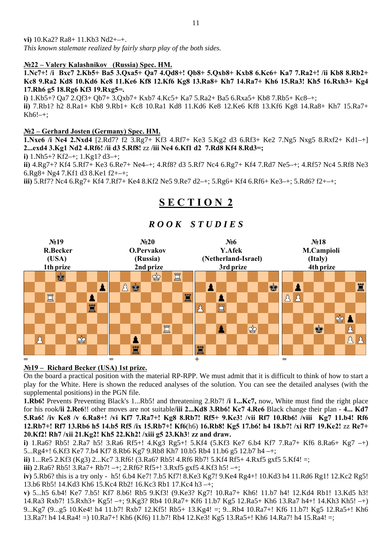### **№22 – Valery Kalashnikov (Russia) Spec. HM.**

**1.Nc7+! /i Bxc7 2.Kb5+ Ba5 3.Qxa5+ Qa7 4.Qd8+! Qb8+ 5.Qxb8+ Kxb8 6.Kc6+ Ka7 7.Ra2+! /ii Kb8 8.Rb2+**  Kc8 9.Ra2 Kd8 10.Kd6 Ke8 11.Ke6 Kf8 12.Kf6 Kg8 13.Ra8+ Kh7 14.Ra7+ Kh6 15.Ra3! Kh5 16.Rxh3+ Kg4 **17.Rh6 g5 18.Rg6 Kf3 19.Rxg5=.**

**i)** 1.Kb5+? Qa7 2.Qf3+ Qb7+ 3.Qxb7+ Kxb7 4.Kc5+ Ka7 5.Ra2+ Ba5 6.Rxa5+ Kb8 7.Rb5+ Kc8–+;

ii) 7.Rb1? h2 8.Ra1+ Kb8 9.Rb1+ Kc8 10.Ra1 Kd8 11.Kd6 Ke8 12.Ke6 Kf8 13.Kf6 Kg8 14.Ra8+ Kh7 15.Ra7+  $Kh6!$ –+:

#### **hard Josten (Germany) Spec. HM. №2 – Ger**

**.Nxe6 /i Ne4 2.Nxd4** [2.Rd7? f2 3.Rg7+ Kf3 4.Rf7+ Ke3 5.Kg2 d3 6.Rf3+ Ke2 7.Ng5 Nxg5 8.Rxf2+ Kd1–+] **1 e4 6.Kf1 d2 7.Rd8 Kf4 8.Rd3=; 2...exd4 3.Kg1 Nd2 4.Rf6! /ii d3 5.Rf8!** zz **/iii N**

**i)** 1.Nh5+? Kf2–+; 1.Kg1? d3–+;

ii) 4.Rg7+? Kf4 5.Rf7+ Ke3 6.Re7+ Ne4-+; 4.Rf8? d3 5.Rf7 Nc4 6.Rg7+ Kf4 7.Rd7 Ne5-+; 4.Rf5? Nc4 5.Rf8 Ne3 ; 6.Rg8+ Ng4 7.Kf1 d3 8.Ke1 f2+–+

**iii)** 5.Rf7? Nc4 6.Rg7+ Kf4 7.Rf7+ Ke4 8.Kf2 Ne5 9.Re7 d2–+; 5.Rg6+ Kf4 6.Rf6+ Ke3–+; 5.Rd6? f2+–+;

# **S E C T I O N 2**



# *R O O K* S *T U D I E S*

## **№19 – Richard Becker (USA) 1st prize.**

On the board a practical position with the material RP-RPP. We must admit that it is difficult to think of how to start a play for the White. Here is shown the reduced analyses of the solution. You can see the detailed analyses (with the supplemental positions) in the PGN file.

for his rook/ii 2.Re6!! other moves are not suitable/iii 2...Kd8 3.Rb6! Kc7 4.Re6 Black change their plan - 4... Kd7 **1.Rb6!** Prevents Preventing Black's 1...Rb5! and threatening 2.Rb7! **/i 1...Kc7,** now, White must find the right place **5.Ra6! /iv Ke8 /v 6.Ra8+! /vi Kf7 7.Ra7+! Kg8 8.Rb7! Rf5+ 9.Ke3! /vii Rf7 10.Rb6! /viii Kg7 11.b4! Rf6 12.Rb7+! Rf7 13.Rb6 h5 14.b5 Rf5 /ix 15.Rb7+! Kf6**(h6) **16.Rb8! Kg5 17.b6! h4 18.b7! /xi Rf7 19.Ke2!** zz **Re7+ 20.Kf2! Rh7 /xii 21.Kg2! Kh5 22.Kh2! /xiii g5 23.Kh3**! **zz and draw.** 

5...Rg4+! 6.Kf3 Ke7 7.b4 Kf7 8.Rb6 Kg7 9.Rb8 Kh7 10.b5 Rb4 11.b6 g5 12.b7 h4 -+; **i)** 1.Ra6? Rb5! 2.Ra7 h5! 3.Ra6 Rf5+! 4.Kg3 Rg5+! 5.Kf4 (5.Kf3 Ke7 6.b4 Kf7 7.Ra7+ Kf6 8.Ra6+ Kg7 –+)

**ii)** 1...Re5 2.Kf3 (Kg3) 2...Kc7 3.Rf6! (3.Ra6? Rb5! 4.Rf6 Rb7! 5.Kf4 Rf5+ 4.Rxf5 gxf5 5.Kf4! =;

**iii)** 2.Ra6? Rb5! 3.Ra7+ Rb7! –+; 2.Rf6? Rf5+! 3.Rxf5 gxf5 4.Kf3 h5! –+;

iv) 5.Rb6? this is a try only - h5! 6.b4 Ke7! 7.b5 Kf7! 8.Ke3 Kg7! 9.Ke4 Rg4+! 10.Kd3 h4 11.Rd6 Rg1! 12.Kc2 Rg5! 13.b6 Rb5! 14.Kd3 Kh6 15.Kc4 Rb2! 16.Kc3 Rb1 17.Kc4 h3 –+;

14.Ra3 Rxb7! 15.Rxh3+ Kg5! -+; 9.Kg3? Rb4 10.Ra7+ Kf6 11.b7 Kg5 12.Ra5+ Kh6 13.Ra7 h4+! 14.Kh3 Kh5! -+) **v)** 5...h5 6.b4! Ke7 7.b5! Kf7 8.b6! Rb5 9.Kf3! (9.Ke3? Kg7! 10.Ra7+ Kh6! 11.b7 h4! 12.Kd4 Rb1! 13.Kd5 h3! 9...Kg7 (9...g5 10.Ke4! h4 11.b7! Rxb7 12.Kf5! Rb5+ 13.Kg4! =; 9...Rb4 10.Ra7+! Kf6 11.b7! Kg5 12.Ra5+! Kh6 13.Ra7! h4 14.Ra4! =) 10.Ra7+! Kh6 (Kf6) 11.b7! Rb4 12.Ke3! Kg5 13.Ra5+! Kh6 14.Ra7! h4 15.Ra4! =;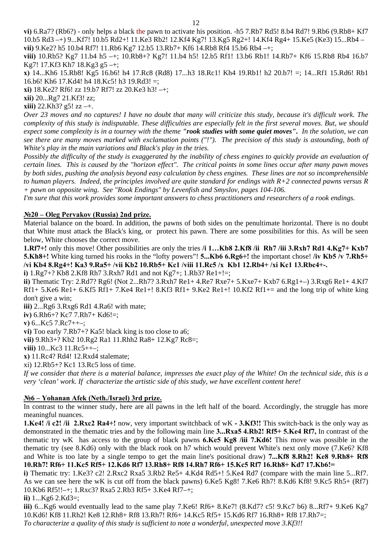**vi)** 6.Ra7? (Rb6?) - only helps a black the pawn to activate his position. -h5 7.Rb7 Rd5! 8.b4 Rd7! 9.Rb6 (9.Rb8+ Kf7 10.b5 Rd3 -+) 9...Kf7! 10.b5 Rd2+! 11.Ke3 Rb2! 12.Kf4 Kg7! 13.Kg5 Rg2+! 14.Kf4 Rg4+ 15.Ke5 (Ke3) 15...Rb4 **vii)** 9.Ke2? h5 10.b4 Rf7! 11.Rb6 Kg7 12.b5 13.Rb7+ Kf6 14.Rb8 Rf4 15.b6 Rb4 –+;

**viii)** 10.Rb5? Kg7 11.b4 h5 –+; 10.Rb8+? Kg7! 11.b4 h5! 12.b5 Rf1! 13.b6 Rb1! 14.Rb7+ Kf6 15.Rb8 Rb4 16.b7 Kg7! 17.Kf3 Kh7 18.Kg3 g5 -+;

=; 14...Rf1 15.Rd6! Rb1 **x)** 14...Kh6 15.Rb8! Kg5 16.b6! h4 17.Rc8 (Rd8) 17...h3 18.Rc1! Kh4 19.Rb1! h2 20.b7! 16.b6! Kh6 17.Kd4! h4 18.Kc5! h3 19.Rd3! =;

**xi**) 18.Ke2? Rf6! zz 19.b7 Rf7! zz 20.Ke3 h3! -+;

**xii)** 20...Rg7 21.Kf3! zz;

**xiii)** 22.Kh3? g5! zz –+.

Over 23 moves and no captures! I have no doubt that many will criticize this study, because it's difficult work. The complexity of this study is indisputable. These difficulties are especially felt in the first several moves. But, we should expect some complexity is in a tourney with the theme "rook studies with some quiet moves". In the solution, we can *see there are many moves marked with exclamation points ("!"). The precision of this study is astounding, both of White's play in the main variations and Black's play in the tries.* 

by both sides, pushing the analysis beyond easy calculation by chess engines. These lines are not so incomprehensible *Possibly the difficulty of the study is exaggerated by the inability of chess engines to quickly provide an evaluation of certain lines. This is caused by the "horizon effect". The critical points in some lines occur after many pawn moves to human players. Indeed, the principles involved are quite standard for endings with R+2 connected pawns versus R + pawn on opposite wing. See "Rook Endings" by Levenfish and Smyslov, pages 104-106.* 

*I'm sure that this work provides some important answers to chess practitioners and researchers of a rook endings.* 

#### **№20 – Oleg Pervakov (Russia) 2nd prize.**

Material balance on the board. In addition, the pawns of both sides on the penultimate horizontal. There is no doubt that White must attack the Black's king, or protect his pawn. There are some possibilities for this. As will be seen below, White chooses the correct move.

**0.Rb5+ Kc1 /viii 11.Rc5 /x Kb1 12.Rb4+ /xi Kc1 13.Rbc4+-. /vi Kb4 8.Rg4+! Ka3 9.Ra5+ /vii Kb2 1 1.Rf7+!** only this move! Other possibilities are only the tries **/i 1…Kb8 2.Kf8 /ii Rh7 /iii 3.Rxh7 Rd1 4.Kg7+ Kxb7 5.Kh8+!** White king turned his rooks in the "lofty powers"! **5...Kb6 6.Rg6+!** the important chose! **/iv Kb5 /v 7.Rh5+** 

**i)** 1.Rg7+? Kb8 2.Kf8 Rh7 3.Rxh7 Rd1 and not Kg7+; 1.Rb3? Re1+!=;

**ii)** Thematic Try: 2.Rd7? Rg6! (Not 2...Rh7? 3.Rxh7 Re1+ 4.Re7 Rxe7+ 5.Kxe7+ Kxb7 6.Rg1+–) 3.Rxg6 Re1+ 4.Kf7 Rf1+ 5.Ke6 Re1+ 6.Kf5 Rf1+ 7.Ke4 Re1+! 8.Kf3 Rf1+ 9.Ke2 Re1+! 10.Kf2 Rf1+= and the long trip of white king don't give a win;

**iii)** 2...Rg6 3.Rxg6 Rd1 4.Ra6! with mate;

**iv)** 6.Rh6+? Kc7 7.Rh7+ Kd6!=;

**v**) 6...Kc5 7.Rc7++-;

vi) Too early 7.Rb7+? Ka5! black king is too close to a6;

vii) 9.Rh3+? Kb2 10.Rg2 Ra1 11.Rhh2 Ra8+ 12.Kg7 Rc8=;

**viii**) 10...Kc3 11.Rc5++-;

**x)** 11.Rc4? Rd4! 12.Rxd4 stalemate;

xi) 12.Rb5+? Kc1 13.Rc5 loss of time.

If we consider that there is a material balance, impresses the exact play of the White! On the technical side, this is a *very 'clean' work. If characterize the artistic side of this study, we have excellent content here!* 

#### **№6 – Yohanan Afek (Neth./Israel) 3rd prize.**

In contrast to the winner study, here are all pawns in the left half of the board. Accordingly, the struggle has more meaningful nuances.

1.Ke4! /i c2! /ii 2.Rxc2 Ra4+! now, very important switchback of wK - 3.Kf3!! This switch-back is the only way as thematic try wK has access to the group of black pawns 6.Ke5 Kg8 /iii 7.Kd6! This move was possible in the demonstrated in the thematic tries and by the following main line **3...Rxa5 4.Rb2! Rf5+ 5.Ke4 Rf7,** In contrast of the thematic try (see 8.Kd6) only with the black rook on h7 which would prevent White's next only move (7.Ke6? Kf8 and White is too late by a single tempo to get the main line's positional draw) **7...Kf8 8.Rh2! Ke8 9.Rh8+ Rf8 10.Rh7! Rf6+ 11.Kc5 Rf5+ 12.Kd6 Rf7 13.Rh8+ Rf8 14.Rh7 Rf6+ 15.Kc5 Rf7 16.Rh8+ Kd7 17.Kb6!=** 

**i)** Thematic try: 1.Ke3? c2! 2.Rxc2 Rxa5 3.Rb2 Re5+ 4.Kd4 Rd5+! 5.Ke4 Rd7 (compare with the main line 5...Rf7. As we can see here the wK is cut off from the black pawns) 6.Ke5 Kg8! 7.Ke6 Rh7! 8.Kd6 Kf8! 9.Kc5 Rh5+ (Rf7) 10.Kb6 Rf5!!–+; 1.Rxc3? Rxa5 2.Rb3 Rf5+ 3.Ke4 Rf7–+;

### **ii)** 1...Kg6 2.Kd3=;

10.Kd6! Kf8 11.Rh2! Ke8 12.Rh8+ Rf8 13.Rh7! Rf6+ 14.Kc5 Rf5+ 15.Kd6 Rf7 16.Rh8+ Rf8 17.Rh7=; To characterize a quality of this study is sufficient to note a wonderful, unexpected move 3.Kf3!! **iii)** 6...Kg6 would eventually lead to the same play 7.Ke6! Rf6+ 8.Ke7! (8.Kd7? c5! 9.Kc7 b6) 8...Rf7+ 9.Ke6 Kg7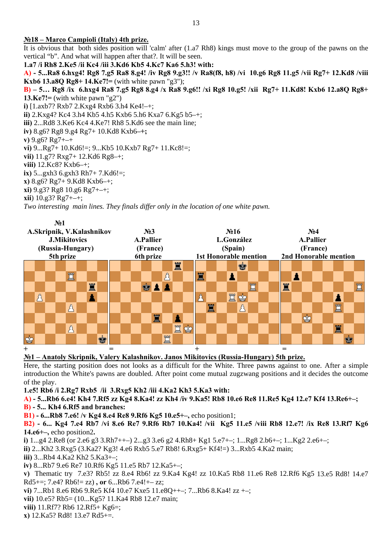#### **№18 – Marco Campioli (Italy) 4th prize.**

It is obvious that both sides position will 'calm' after  $(1.a7 Rh8)$  kings must move to the group of the pawns on the vertical "b". And what will happen after that?. It will be seen.

**Kc7 Ka6 5.h3! with: 1.a7 /i Rh8 2.Ke5 /ii Kc4 /iii 3.Kd6 Kb5 4.**

**A) - 5...Ra8 6.hxg4! Rg8 7.g5 Ra8 8.g4! /iv Rg8 9.g3!! /v Ra8(f8, h8) /vi 10.g6 Rg8 11.g5 /vii Rg7+ 12.Kd8 /viii Kxb6 13.a8Q Rg8+ 14.Ke7!** = (with white pawn "g3");

**B**) – 5... Rg8 /ix 6.hxg4 Ra8 7.g5 Rg8 8.g4 /x Ra8 9.g6!! /xi Rg8 10.g5! /xii Rg7+ 11.Kd8! Kxb6 12.a8Q Rg8+ **13.Ke7!=**  $(\text{with white pawn "g2")}$ 

**i)** [1.axb7? Rxb7 2.Kxg4 Rxb6 3.h4 Ke4!–+;

**ii)** 2.Kxg4? Kc4 3.h4 Kb5 4.h5 Kxb6 5.h6 Kxa7 6.Kg5 b5–+;

iii) 2...Rd8 3.Ke6 Kc4 4.Ke7! Rh8 5.Kd6 see the main line;

**iv)** 8.g6? Rg8 9.g4 Rg7+ 10.Kd8 Kxb6**–+;** 

**v)** 9.g6? Rg7+–+

**vi)** 9...Rg7+ 10.Kd6!=; 9...Kb5 10.Kxb7 Rg7+ 11.Kc8!=;

**vii)** 11.g7? Rxg7+ 12.Kd6 Rg8–+;

viii) 12.Kc8? Kxb6-+;

**ix)** 5...gxh3 6.gxh3 Rh7+ 7.Kd6!=;

**x)** 8.g6? Rg7+ 9.Kd8 Kxb6–+;

**xi**) 9.g3? Rg8 10.g6 Rg7+-+;

**xii**) 10.g3? Rg7+–+;

Two interesting main lines. They finals differ only in the location of one white pawn.

| N <sub>0</sub> 1          |         |  |  |          |  |   |          |                  |  |  |  |   |         |                   |                              |        |   |  |    |   |          |                 |                       |   |  |   |  |  |   |             |  |
|---------------------------|---------|--|--|----------|--|---|----------|------------------|--|--|--|---|---------|-------------------|------------------------------|--------|---|--|----|---|----------|-----------------|-----------------------|---|--|---|--|--|---|-------------|--|
| A.Skripnik, V.Kalashnikov |         |  |  |          |  |   |          | N <sub>2</sub> 3 |  |  |  |   |         | N <sub>2</sub> 16 |                              |        |   |  |    |   |          | N <sub>24</sub> |                       |   |  |   |  |  |   |             |  |
| <b>J.Mikitovics</b>       |         |  |  |          |  |   |          | A.Pallier        |  |  |  |   |         | L.González        |                              |        |   |  |    |   |          | A.Pallier       |                       |   |  |   |  |  |   |             |  |
| (Russia-Hungary)          |         |  |  |          |  |   | (France) |                  |  |  |  |   | (Spain) |                   |                              |        |   |  |    |   | (France) |                 |                       |   |  |   |  |  |   |             |  |
| 5th prize                 |         |  |  |          |  |   |          | 6th prize        |  |  |  |   |         |                   | <b>1st Honorable mention</b> |        |   |  |    |   |          |                 | 2nd Honorable mention |   |  |   |  |  |   |             |  |
|                           |         |  |  |          |  |   |          |                  |  |  |  |   |         | 罝                 |                              |        |   |  |    | ġ |          |                 |                       |   |  |   |  |  |   |             |  |
|                           |         |  |  | ÏÏ       |  |   |          |                  |  |  |  |   |         |                   |                              | 罝      |   |  |    |   |          |                 |                       |   |  |   |  |  |   |             |  |
|                           |         |  |  |          |  | Ï |          |                  |  |  |  |   |         |                   |                              |        |   |  |    |   | Ë        |                 |                       | 罝 |  |   |  |  |   | <b>PAGE</b> |  |
|                           | $\beta$ |  |  |          |  |   |          |                  |  |  |  |   |         |                   |                              |        |   |  | 買的 |   |          |                 |                       |   |  |   |  |  |   |             |  |
|                           |         |  |  | Å        |  |   |          |                  |  |  |  |   |         |                   |                              |        | 罝 |  |    |   |          |                 |                       |   |  |   |  |  |   |             |  |
|                           |         |  |  |          |  |   |          |                  |  |  |  | 罝 |         |                   |                              |        |   |  |    |   |          |                 |                       |   |  | ♔ |  |  |   |             |  |
|                           |         |  |  | $\Delta$ |  |   |          |                  |  |  |  |   |         | 買                 | မြဲ                          |        |   |  |    |   |          |                 |                       |   |  |   |  |  | 罝 |             |  |
| ġ                         |         |  |  |          |  |   | ė        |                  |  |  |  |   | ٣f      |                   |                              |        |   |  |    |   |          |                 |                       |   |  |   |  |  |   |             |  |
| $+$                       |         |  |  |          |  |   |          | =                |  |  |  |   |         |                   |                              | $^{+}$ |   |  |    |   |          |                 |                       | = |  |   |  |  |   |             |  |

#### **№1 – Anatoly Skripnik, Valery Kalashnikov. Janos Mikitovics (Russia-Hungary) 5th prize.**

Here, the starting position does not looks as a difficult for the White. Three pawns against to one. After a simp le introduction the White's pawns are doubled. After point come mutual zugzwang positions and it decides the outcome of the play.

**1.e5! Rb6 /i 2.Rg7 Rxb5 /ii 3.Rxg5 Kh2 /iii 4.Ka2 Kh3 5.Ka3 with:** 

**A) - 5...Rb6 6.e4! Kh4 7.Rf5 zz Kg4 8.Ka4! zz Kh4 /iv 9.Ka5! Rb8 10.e6 Re8 11.Re5 Kg4 12.e7 Kf4 13.Re6+–;** 

#### **6.Rf5 and branches: B) - 5... Kh4**

; **B1) - 6...Rb8 7.e6! /v Kg4 8.e4 Re8 9.Rf6 Kg5 10.e5+–,** echo position1

**g6 B2) - 6... Kg4 7.e4 Rb7 /vi 8.e6 Re7 9.Rf6 Rb7 10.Ka4! /vii Kg5 11.e5 /viii Rb8 12.e7! /ix Re8 13.Rf7 K 14.e6+–,** echo position2**.** 

**i**) 1...g4 2.Re8 (or 2.e6 g3 3.Rh7++–) 2...g3 3.e6 g2 4.Rh8+ Kg1 5.e7+–; 1...Rg8 2.b6+–; 1...Kg2 2.e6+–;

**ii)** 2...Kh2 3.Rxg5 (3.Ka2? Kg3! 4.e6 Rxb5 5.e7 Rb8! 6.Rxg5+ Kf4!=) 3...Rxb5 4.Ka2 main;

**iii**) 3...Rb4 4.Ka2 Kh2 5.Ka3+-;

**iv)** 8...Rb7 9.e6 Re7 10.Rf6 Kg5 11.e5 Rb7 12.Ka5+–;

13.e5 Rd8! 14.e7 **v)** Thematic try 7.e3? Rb5! zz 8.e4 Rb6! zz 9.Ka4 Kg4! zz 10.Ka5 Rb8 11.e6 Re8 12.Rf6 Kg5 Rd5+=; 7.e4? Rb6!= zz), or  $6...Rb6$  7.e4!+– zz;

7...Rb6 8.Ka4! zz +–; **vi)** 7...Rb1 8.e6 Rb6 9.Re5 Kf4 10.e7 Kxe5 11.e8Q++–;

**vii)** 10.e5? Rb5= (10...Kg5? 11.Ka4 Rb8 12.e7 main;

**viii)** 11.Rf7? Rb6 12.Rf5+ Kg6=;

**x)** 12.Ka5? Rd8! 13.e7 Rd5+=.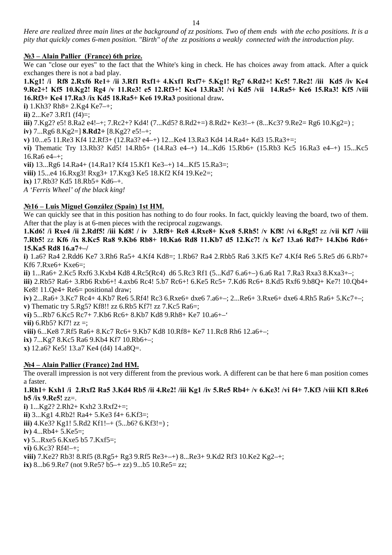Here are realized three main lines at the background of zz positions. Two of them ends with the echo positions. It is a *pity that quickly comes 6-men position. "Birth" of the zz positions a weakly connected with the introduction play.* 

#### **№3 – Alain Pallier (France) 6th prize.**

We can "close our eyes" to the fact that the White's king in check. He has choices away from attack. After a quick exchanges there is not a bad play.

**xf1+ 4.Kxf1 Rxf7+ 5.Kg1! Rg7 6.Rd2+! Kc5! 7.Re2! /iii Kd5 /iv Ke4 1.Kg1! /i Rf8 2.Rxf6 Re1+ /ii 3.Rf1 R** 16.Rf3+ Ke4 17.Ra3 /ix Kd5 18.Ra5+ Ke6 19.Ra3 positional draw. **9.Re2+! Kf5 10.Kg2! Rg4 /v 11.Re3! e5 12.Rf3+! Ke4 13.Ra3! /vi Kd5 /vii 14.Ra5+ Ke6 15.Ra3! Kf5 /viii** 

**i)** 1.Kh3? Rh8+ 2.Kg4 Ke7–+;

**ii)** 2...Ke7 3.Rf1 (f4)=;

iii) 7.Kg2? e5! 8.Ra2 e4!-+; 7.Rc2+? Kd4! (7...Kd5? 8.Rd2+=) 8.Rd2+ Ke3!-+ (8...Kc3? 9.Re2= Rg6 10.Kg2=) ;

**iv**) **7...Rg6 8.Kg2=] <b>8.Rd2**+ [8.Kg2? e5!-+;

**v**) 10...e5 11.Re3 Kf4 12.Rf3+ (12.Ra3? e4-+) 12...Ke4 13.Ra3 Kd4 14.Ra4+ Kd3 15.Ra3+=;

**vi)** Thematic Try 13.Rb3? Kd5! 14.Rb5+ (14.Ra3 e4–+) 14...Kd6 15.Rb6+ (15.Rb3 Kc5 16.Ra3 e4–+) 15...Kc5 16.Ra6 e4–+;

**vii)** 13...Rg6 14.Ra4+ (14.Ra1? Kf4 15.Kf1 Ke3–+) 14...Kf5 15.Ra3=;

**viii)** 15...e4 16.Rxg3! Rxg3+ 17.Kxg3 Ke5 18.Kf2 Kf4 19.Ke2=;

**ix**) 17.Rb3? Kd5 18.Rb5+ Kd6-+.

*A 'Ferris Wheel' of the black king!* 

#### **in) 1st HM. №16 – Luis Miguel González (Spa**

We can quickly see that in this position has nothing to do four rooks. In fact, quickly leaving the board, two of them. After that the play is at 6-men pieces with the reciprocal zugzwangs.

**+ Re8 4.Rxe8+ Kxe8 5.Rh5! /v Kf8! /vi 6.Rg5!** zz **/vii Kf7 /viii 1.Kd6! /i Rxe4 /ii 2.Rdf5! /iii Kd8! / iv 3.Rf8 7.Rb5!** zz **Kf6 /ix 8.Kc5 Ra8 9.Kb6 Rb8+ 10.Ka6 Rd8 11.Kb7 d5 12.Kc7! /x Ke7 13.a6 Rd7+ 14.Kb6 Rd6+ 15.Ka5 Rd8 16.a7+–/** 

**i)** 1.a6? Ra4 2.Rdd6 Ke7 3.Rh6 Ra5+ 4.Kf4 Kd8=; 1.Rb6? Ra4 2.Rbb5 Ra6 3.Kf5 Ke7 4.Kf4 Re6 5.Re5 d6 6.Rb7+ Kf6 7.Rxe6+ Kxe6=:

3.Kxb4 Kd8 4.Rc5(Rc4) d6 5.Rc3 Rf1 (5...Kd7 6.a6+–) 6.a6 Ra1 7.Ra3 Rxa3 8.Kxa3+–; **ii)** 1...Ra6+ 2.Kc5 Rxf6

Ke8! 11.Qe4+ Re6= positional draw; **iii)** 2.Rb5? Ra6+ 3.Rb6 Rxb6+! 4.axb6 Rc4! 5.b7 Rc6+! 6.Ke5 Rc5+ 7.Kd6 Rc6+ 8.Kd5 Rxf6 9.b8Q+ Ke7! 10.Qb4+

–; **iv)** 2...Ra6+ 3.Kc7 Rc4+ 4.Kb7 Re6 5.Rf4! Rc3 6.Rxe6+ dxe6 7.a6+–; 2...Re6+ 3.Rxe6+ dxe6 4.Rh5 Ra6+ 5.Kc7+ **v)** Thematic try 5.Rg5? Kf8!! zz 6.Rb5 Kf7! zz 7.Kc5 Ra6=;

**vi)** 5...Rb7 6.Kc5 Rc7+ 7.Kb6 Rc6+ 8.Kb7 Kd8 9.Rh8+ Ke7 10.a6+-'

**vii)** 6.Rb5? Kf7! zz =;

11.Rc8 Rh6 12.a6+–; **viii)** 6...Ke8 7.Rf5 Ra6+ 8.Kc7 Rc6+ 9.Kb7 Kd8 10.Rf8+ Ke7

**ix)** 7...Kg7 8.Kc5 Ra6 9.Kb4 Kf7 10.Rb6+–;

**x**) 12.a6? Ke5! 13.a7 Ke4 (d4) 14.a8Q=.

### **№4 – Alain Pallier (France) 2nd HM.**

The overall impression is not very different from the previous work. A different can be that here 6 man position comes a faster.

**5 /ii 4.Re2! /iii Kg1 /iv 5.Re5 Rb4+ /v 6.Ke3! /vi f4+ 7.Kf3 /viii Kf1 8.Re6 1.Rh1+ Kxh1 /i 2.Rxf2 Ra5 3.Kd4 Rb b5 /ix 9.Re5!** zz=.

**i**)  $1...Kg2?$   $2.Rh2+Kxh2$   $3.Rxf2+=;$  $\text{iii)}$  4.Ke3? Kg1! 5.Rd2 Kf1!-+ (5...b6? 6.Kf3!=); 5 (8.Rg5+ Rg3 9.Rf5 Re3+–+) 8...Re3+ 9.Kd2 Rf3 10.Ke2 Kg2–+; **viii)** 7.Ke2? Rb3! 8.Rf  $ix)$  8...b6 9.Re7 (not 9.Re5? b5-+ zz) 9...b5 10.Re5= zz; **ii)** 3...Kg1 4.Rb2! Ra4+ 5.Ke3 f4+ 6.Kf3=; **iv)** 4...Rb4+ 5.Ke5=; **v)** 5...Rxe5 6.Kxe5 b5 7.Kxf5=; **vi)** 6.Kc3? Rf4!–+;